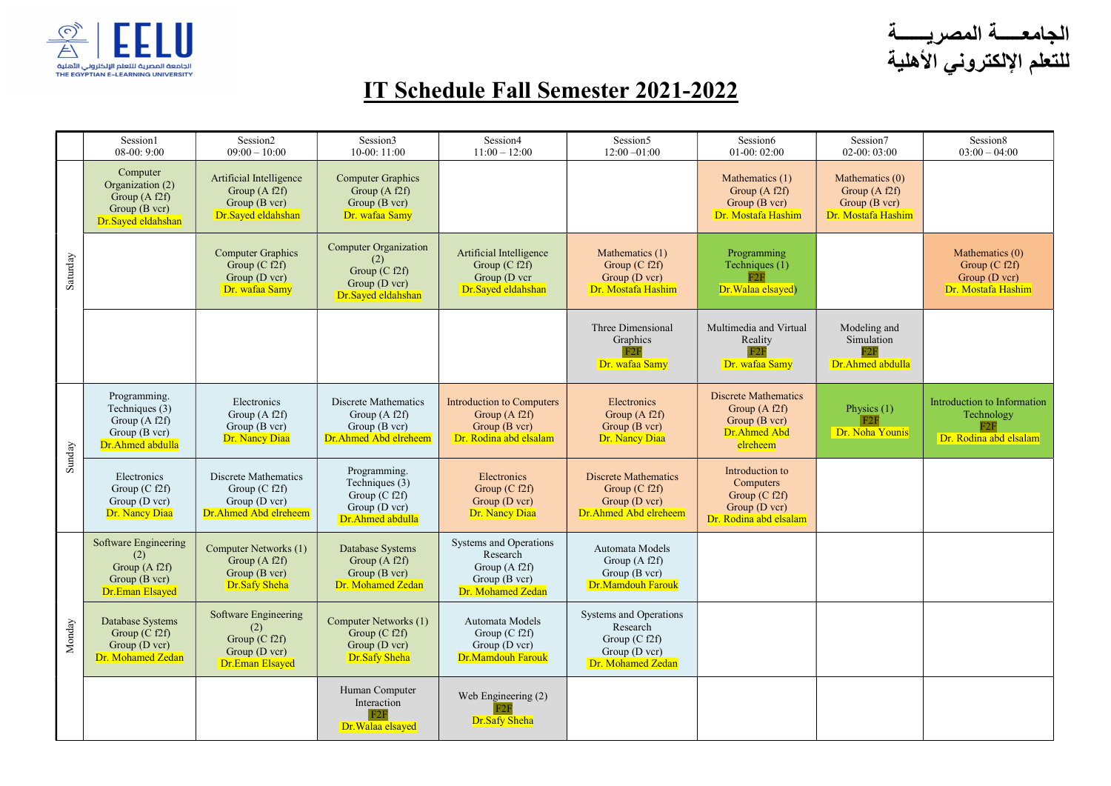

الجامعـــــة المصريــــــة للتعلم الإلكتروني الأهلية

## IT Schedule Fall Semester 2021-2022

|          | Session1<br>$08-00:9:00$                                                                  | Session <sub>2</sub><br>$09:00 - 10:00$                                                   | Session3<br>$10-00:11:00$                                                                     | Session4<br>$11:00 - 12:00$                                                                  | Session5<br>$12:00 - 01:00$                                                                 | Session6<br>$01-00:02:00$                                                                   | Session7<br>$02-00:03:00$                                                 | Session8<br>$03:00 - 04:00$                                                |
|----------|-------------------------------------------------------------------------------------------|-------------------------------------------------------------------------------------------|-----------------------------------------------------------------------------------------------|----------------------------------------------------------------------------------------------|---------------------------------------------------------------------------------------------|---------------------------------------------------------------------------------------------|---------------------------------------------------------------------------|----------------------------------------------------------------------------|
| Saturday | Computer<br>Organization (2)<br>Group (A f2f)<br>Group (B vcr)<br>Dr.Sayed eldahshan      | Artificial Intelligence<br>Group $(A f2f)$<br>Group (B vcr)<br>Dr.Sayed eldahshan         | <b>Computer Graphics</b><br>Group $(A f2f)$<br>Group (B vcr)<br>Dr. wafaa Samy                |                                                                                              |                                                                                             | Mathematics (1)<br>Group $(A f2f)$<br>Group (B vcr)<br>Dr. Mostafa Hashim                   | Mathematics (0)<br>Group $(A f2f)$<br>Group (B vcr)<br>Dr. Mostafa Hashim |                                                                            |
|          |                                                                                           | <b>Computer Graphics</b><br>Group $(C f2f)$<br>Group (D vcr)<br>Dr. wafaa Samy            | <b>Computer Organization</b><br>(2)<br>Group $(C f2f)$<br>Group (D vcr)<br>Dr.Sayed eldahshan | Artificial Intelligence<br>Group $(C f2f)$<br>Group (D vcr<br>Dr.Sayed eldahshan             | Mathematics (1)<br>Group $(C f2f)$<br>Group (D vcr)<br>Dr. Mostafa Hashim                   | Programming<br>Techniques (1)<br>F2F<br>Dr. Walaa elsayed)                                  |                                                                           | Mathematics (0)<br>Group $(C f2f)$<br>Group (D vcr)<br>Dr. Mostafa Hashim  |
|          |                                                                                           |                                                                                           |                                                                                               |                                                                                              | Three Dimensional<br>Graphics<br>Dr. wafaa Samy                                             | Multimedia and Virtual<br>Reality<br>Dr. wafaa Samy                                         | Modeling and<br>Simulation<br>Dr.Ahmed abdulla                            |                                                                            |
| Sunday   | Programming.<br>Techniques (3)<br>Group (A f2f)<br>Group (B vcr)<br>Dr.Ahmed abdulla      | Electronics<br>Group $(A f2f)$<br>Group (B vcr)<br>Dr. Nancy Diaa                         | Discrete Mathematics<br>Group $(A f2f)$<br>Group (B vcr)<br>Dr. Ahmed Abd elreheem            | <b>Introduction to Computers</b><br>Group (A f2f)<br>Group (B vcr)<br>Dr. Rodina abd elsalam | Electronics<br>Group (A f2f)<br>Group (B vcr)<br>Dr. Nancy Diaa                             | <b>Discrete Mathematics</b><br>Group $(A f2f)$<br>Group (B vcr)<br>Dr.Ahmed Abd<br>elreheem | Physics $(1)$<br>F2F<br>Dr. Noha Younis                                   | Introduction to Information<br>Technology<br>F2F<br>Dr. Rodina abd elsalam |
|          | Electronics<br>Group $(C f2f)$<br>Group (D vcr)<br>Dr. Nancy Diaa                         | Discrete Mathematics<br>Group $(C f2f)$<br>Group (D vcr)<br>Dr.Ahmed Abd elreheem         | Programming.<br>Techniques (3)<br>Group $(C f2f)$<br>Group (D vcr)<br>Dr.Ahmed abdulla        | Electronics<br>Group $(C f2f)$<br>Group (D vcr)<br>Dr. Nancy Diaa                            | <b>Discrete Mathematics</b><br>Group (C f2f)<br>Group (D vcr)<br>Dr.Ahmed Abd elreheem      | Introduction to<br>Computers<br>Group (C f2f)<br>Group (D vcr)<br>Dr. Rodina abd elsalam    |                                                                           |                                                                            |
| Monday   | Software Engineering<br>(2)<br>Group (A f2f)<br>Group $(B \nvert v c)$<br>Dr.Eman Elsayed | Computer Networks (1)<br>Group $(A f2f)$<br>Group (B vcr)<br>Dr.Safy Sheha                | Database Systems<br>Group (A f2f)<br>Group (B vcr)<br>Dr. Mohamed Zedan                       | Systems and Operations<br>Research<br>Group $(A f2f)$<br>Group (B vcr)<br>Dr. Mohamed Zedan  | Automata Models<br>Group (A f2f)<br>Group (B vcr)<br>Dr.Mamdouh Farouk                      |                                                                                             |                                                                           |                                                                            |
|          | Database Systems<br>Group $(C f2f)$<br>Group (D vcr)<br>Dr. Mohamed Zedan                 | <b>Software Engineering</b><br>(2)<br>Group $(C f2f)$<br>Group (D vcr)<br>Dr.Eman Elsayed | Computer Networks (1)<br>Group $(C f2f)$<br>Group (D vcr)<br>Dr.Safy Sheha                    | Automata Models<br>Group $(C f2f)$<br>Group (D vcr)<br>Dr.Mamdouh Farouk                     | Systems and Operations<br>Research<br>Group $(C f2f)$<br>Group (D vcr)<br>Dr. Mohamed Zedan |                                                                                             |                                                                           |                                                                            |
|          |                                                                                           |                                                                                           | Human Computer<br>Interaction<br>Dr. Walaa elsayed                                            | Web Engineering (2)<br>F2F<br>Dr.Safy Sheha                                                  |                                                                                             |                                                                                             |                                                                           |                                                                            |